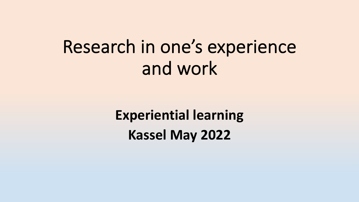# Research in one's experience and work

**Experiential learning Kassel May 2022**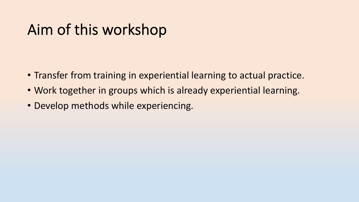## Aim of this workshop

- Transfer from training in experiential learning to actual practice.
- Work together in groups which is already experiential learning.
- Develop methods while experiencing.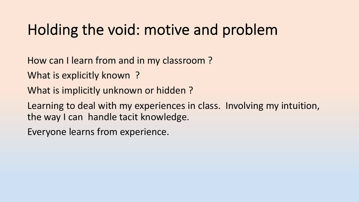#### Holding the void: motive and problem

How can I learn from and in my classroom ?

What is explicitly known ?

What is implicitly unknown or hidden ?

Learning to deal with my experiences in class. Involving my intuition, the way I can handle tacit knowledge.

Everyone learns from experience.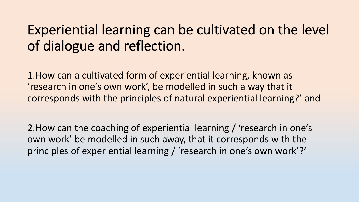#### Experiential learning can be cultivated on the level of dialogue and reflection.

1.How can a cultivated form of experiential learning, known as 'research in one's own work', be modelled in such a way that it corresponds with the principles of natural experiential learning?' and

2.How can the coaching of experiential learning / 'research in one's own work' be modelled in such away, that it corresponds with the principles of experiential learning / 'research in one's own work'?'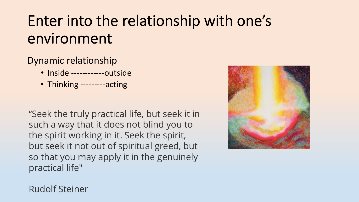# Enter into the relationship with one's environment

#### Dynamic relationship

- Inside -------------outside
- Thinking ---------acting

"Seek the truly practical life, but seek it in such a way that it does not blind you to the spirit working in it. Seek the spirit, but seek it not out of spiritual greed, but so that you may apply it in the genuinely practical life"



Rudolf Steiner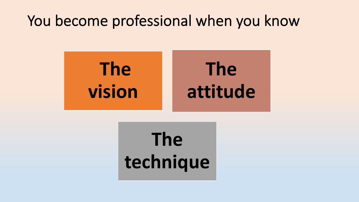#### You become professional when you know



# **The technique**